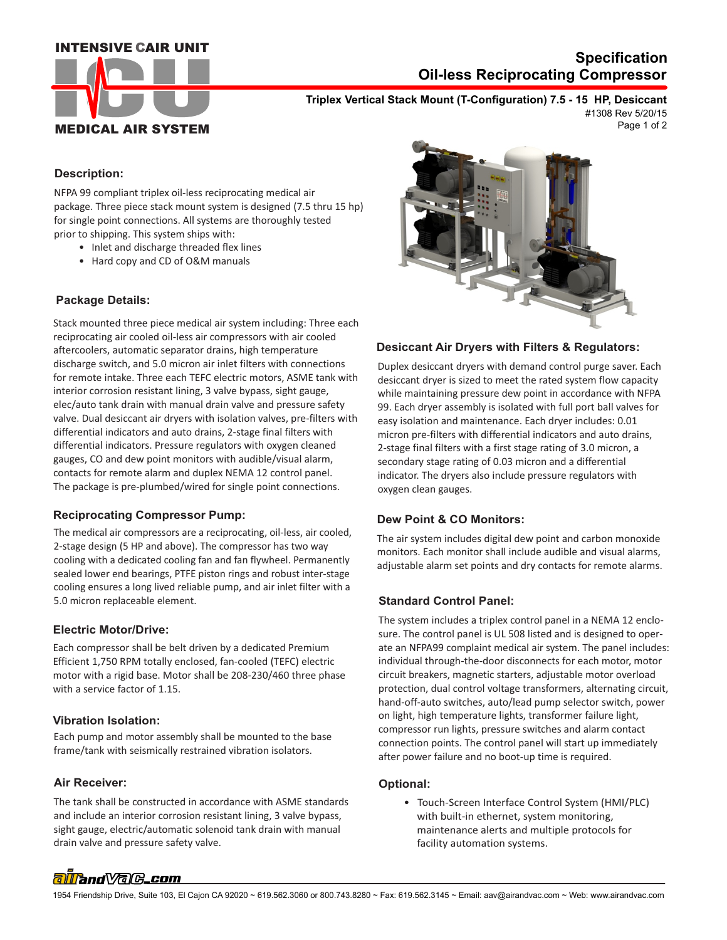### **INTENSIVE CAIR UNIT**



## **Oil-less Reciprocating Compressor Specification**

**Triplex Vertical Stack Mount (T-Configuration) 7.5 - 15 HP, Desiccant**

Page 1 of 2 #1308 Rev 5/20/15

### **Description:**

NFPA 99 compliant triplex oil-less reciprocating medical air package. Three piece stack mount system is designed (7.5 thru 15 hp) for single point connections. All systems are thoroughly tested prior to shipping. This system ships with:

- Inlet and discharge threaded flex lines
- Hard copy and CD of O&M manuals

#### **Package Details:**

Stack mounted three piece medical air system including: Three each reciprocating air cooled oil-less air compressors with air cooled aftercoolers, automatic separator drains, high temperature discharge switch, and 5.0 micron air inlet filters with connections for remote intake. Three each TEFC electric motors, ASME tank with interior corrosion resistant lining, 3 valve bypass, sight gauge, elec/auto tank drain with manual drain valve and pressure safety valve. Dual desiccant air dryers with isolation valves, pre-filters with differential indicators and auto drains, 2-stage final filters with differential indicators. Pressure regulators with oxygen cleaned gauges, CO and dew point monitors with audible/visual alarm, contacts for remote alarm and duplex NEMA 12 control panel. The package is pre-plumbed/wired for single point connections.

#### **Reciprocating Compressor Pump:**

The medical air compressors are a reciprocating, oil-less, air cooled, 2-stage design (5 HP and above). The compressor has two way cooling with a dedicated cooling fan and fan flywheel. Permanently sealed lower end bearings, PTFE piston rings and robust inter-stage cooling ensures a long lived reliable pump, and air inlet filter with a 5.0 micron replaceable element.

#### **Electric Motor/Drive:**

Each compressor shall be belt driven by a dedicated Premium Efficient 1,750 RPM totally enclosed, fan-cooled (TEFC) electric motor with a rigid base. Motor shall be 208-230/460 three phase with a service factor of 1.15.

#### **Vibration Isolation:**

Each pump and motor assembly shall be mounted to the base frame/tank with seismically restrained vibration isolators.

#### **Air Receiver:**

 drain valve and pressure safety valve. The tank shall be constructed in accordance with ASME standards and include an interior corrosion resistant lining, 3 valve bypass, sight gauge, electric/automatic solenoid tank drain with manual



#### **Desiccant Air Dryers with Filters & Regulators:**

Duplex desiccant dryers with demand control purge saver. Each desiccant dryer is sized to meet the rated system flow capacity while maintaining pressure dew point in accordance with NFPA 99. Each dryer assembly is isolated with full port ball valves for easy isolation and maintenance. Each dryer includes: 0.01 micron pre-filters with differential indicators and auto drains, 2-stage final filters with a first stage rating of 3.0 micron, a secondary stage rating of 0.03 micron and a differential indicator. The dryers also include pressure regulators with oxygen clean gauges.

#### **Dew Point & CO Monitors:**

The air system includes digital dew point and carbon monoxide monitors. Each monitor shall include audible and visual alarms, adjustable alarm set points and dry contacts for remote alarms.

#### **Standard Control Panel:**

The system includes a triplex control panel in a NEMA 12 enclosure. The control panel is UL 508 listed and is designed to operate an NFPA99 complaint medical air system. The panel includes: individual through-the-door disconnects for each motor, motor circuit breakers, magnetic starters, adjustable motor overload protection, dual control voltage transformers, alternating circuit, hand-off-auto switches, auto/lead pump selector switch, power on light, high temperature lights, transformer failure light, compressor run lights, pressure switches and alarm contact connection points. The control panel will start up immediately after power failure and no boot-up time is required.

#### **Optional:**

 • Touch-Screen Interface Control System (HMI/PLC) with built-in ethernet, system monitoring, maintenance alerts and multiple protocols for facility automation systems.

# allfand Valc.com

1954 Friendship Drive, Suite 103, El Cajon CA 92020 ~ 619.562.3060 or 800.743.8280 ~ Fax: 619.562.3145 ~ Email: aav@airandvac.com ~ Web: www.airandvac.com